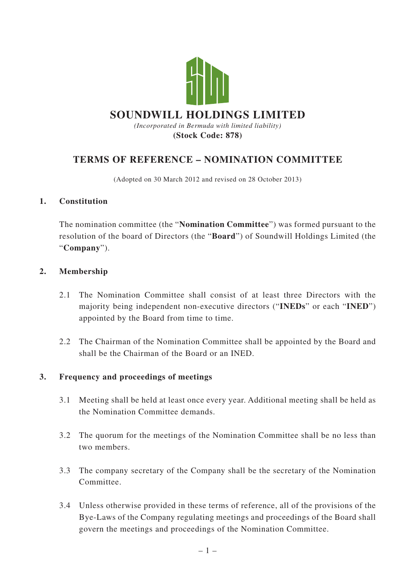

# **TERMS OF REFERENCE – NOMINATION COMMITTEE**

(Adopted on 30 March 2012 and revised on 28 October 2013)

#### **1. Constitution**

The nomination committee (the "**Nomination Committee**") was formed pursuant to the resolution of the board of Directors (the "**Board**") of Soundwill Holdings Limited (the "**Company**").

#### **2. Membership**

- 2.1 The Nomination Committee shall consist of at least three Directors with the majority being independent non-executive directors ("**INEDs**" or each "**INED**") appointed by the Board from time to time.
- 2.2 The Chairman of the Nomination Committee shall be appointed by the Board and shall be the Chairman of the Board or an INED.

### **3. Frequency and proceedings of meetings**

- 3.1 Meeting shall be held at least once every year. Additional meeting shall be held as the Nomination Committee demands.
- 3.2 The quorum for the meetings of the Nomination Committee shall be no less than two members.
- 3.3 The company secretary of the Company shall be the secretary of the Nomination Committee.
- 3.4 Unless otherwise provided in these terms of reference, all of the provisions of the Bye-Laws of the Company regulating meetings and proceedings of the Board shall govern the meetings and proceedings of the Nomination Committee.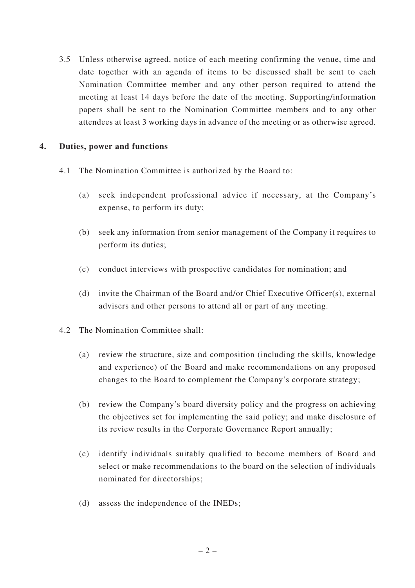3.5 Unless otherwise agreed, notice of each meeting confirming the venue, time and date together with an agenda of items to be discussed shall be sent to each Nomination Committee member and any other person required to attend the meeting at least 14 days before the date of the meeting. Supporting/information papers shall be sent to the Nomination Committee members and to any other attendees at least 3 working days in advance of the meeting or as otherwise agreed.

## **4. Duties, power and functions**

- 4.1 The Nomination Committee is authorized by the Board to:
	- (a) seek independent professional advice if necessary, at the Company's expense, to perform its duty;
	- (b) seek any information from senior management of the Company it requires to perform its duties;
	- (c) conduct interviews with prospective candidates for nomination; and
	- (d) invite the Chairman of the Board and/or Chief Executive Officer(s), external advisers and other persons to attend all or part of any meeting.
- 4.2 The Nomination Committee shall:
	- (a) review the structure, size and composition (including the skills, knowledge and experience) of the Board and make recommendations on any proposed changes to the Board to complement the Company's corporate strategy;
	- (b) review the Company's board diversity policy and the progress on achieving the objectives set for implementing the said policy; and make disclosure of its review results in the Corporate Governance Report annually;
	- (c) identify individuals suitably qualified to become members of Board and select or make recommendations to the board on the selection of individuals nominated for directorships;
	- (d) assess the independence of the INEDs;